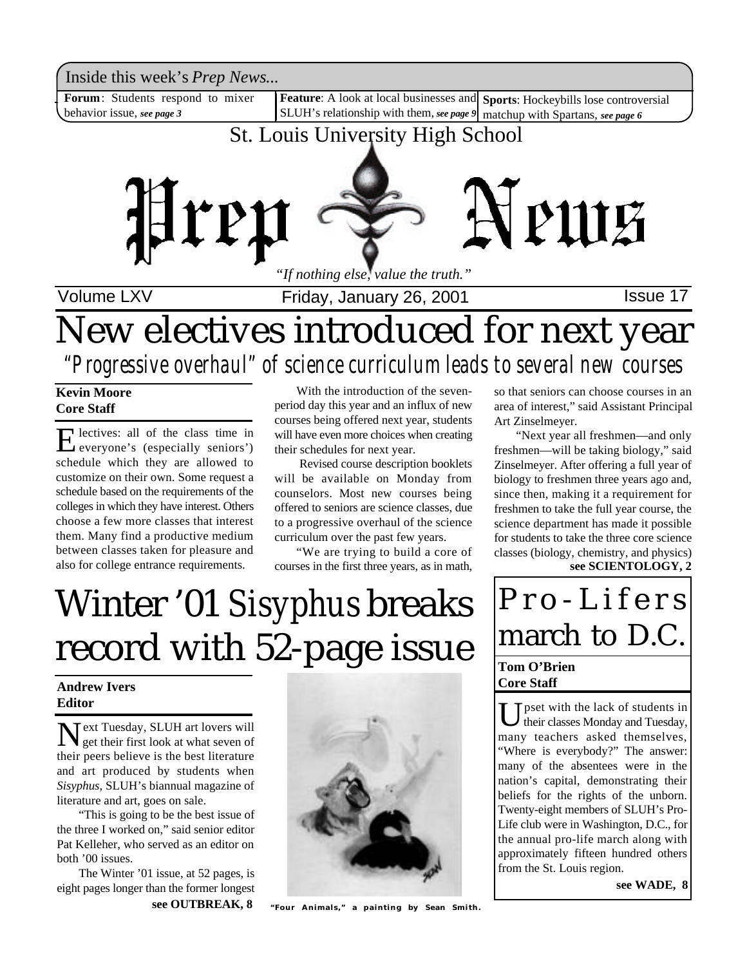Inside this week's *Prep News*...<br>**Forum**: Students respond to mixer **| Feature**: A look at local businesses and **Sports**: Hockeybills lose controversial Inside this week's *Prep News*...

**Forum**: Students respond to mixer behavior issue, *see page 3*

SLUH's relationship with them, *see page 9* matchup with Spartans, *see page 6*

## St. Louis University High School



Volume LXV **Interpretent Collect Friday, January 26, 2001 ISSue 17** 

# New electives introduced for next year *"Progressive overhaul" of science curriculum leads to several new courses*

#### **Kevin Moore Core Staff**

E everyone's (especially seniors') lectives: all of the class time in schedule which they are allowed to customize on their own. Some request a schedule based on the requirements of the colleges in which they have interest. Others choose a few more classes that interest them. Many find a productive medium between classes taken for pleasure and also for college entrance requirements.

With the introduction of the sevenperiod day this year and an influx of new courses being offered next year, students will have even more choices when creating their schedules for next year.

 Revised course description booklets will be available on Monday from counselors. Most new courses being offered to seniors are science classes, due to a progressive overhaul of the science curriculum over the past few years.

"We are trying to build a core of courses in the first three years, as in math,

# Winter '01 *Sisyphus* breaks record with 52-page issue

#### **Andrew Ivers Editor**

Next Tuesday, SLUH art lovers will<br>get their first look at what seven of get their first look at what seven of their peers believe is the best literature and art produced by students when *Sisyphus*, SLUH's biannual magazine of literature and art, goes on sale.

"This is going to be the best issue of the three I worked on," said senior editor Pat Kelleher, who served as an editor on both '00 issues.

The Winter '01 issue, at 52 pages, is eight pages longer than the former longest



**see OUTBREAK, 8 "Four Animals," a painting by Sean Smith.**

so that seniors can choose courses in an area of interest," said Assistant Principal Art Zinselmeyer.

"Next year all freshmen—and only freshmen—will be taking biology," said Zinselmeyer. After offering a full year of biology to freshmen three years ago and, since then, making it a requirement for freshmen to take the full year course, the science department has made it possible for students to take the three core science classes (biology, chemistry, and physics) **see SCIENTOLOGY, 2**

# P r o - L i f e r s march to D.C.

#### **Tom O'Brien Core Staff**

U pset with the lack of students in<br>their classes Monday and Tuesday, their classes Monday and Tuesday, many teachers asked themselves, "Where is everybody?" The answer: many of the absentees were in the nation's capital, demonstrating their beliefs for the rights of the unborn. Twenty-eight members of SLUH's Pro-Life club were in Washington, D.C., for the annual pro-life march along with approximately fifteen hundred others from the St. Louis region.

**see WADE, 8**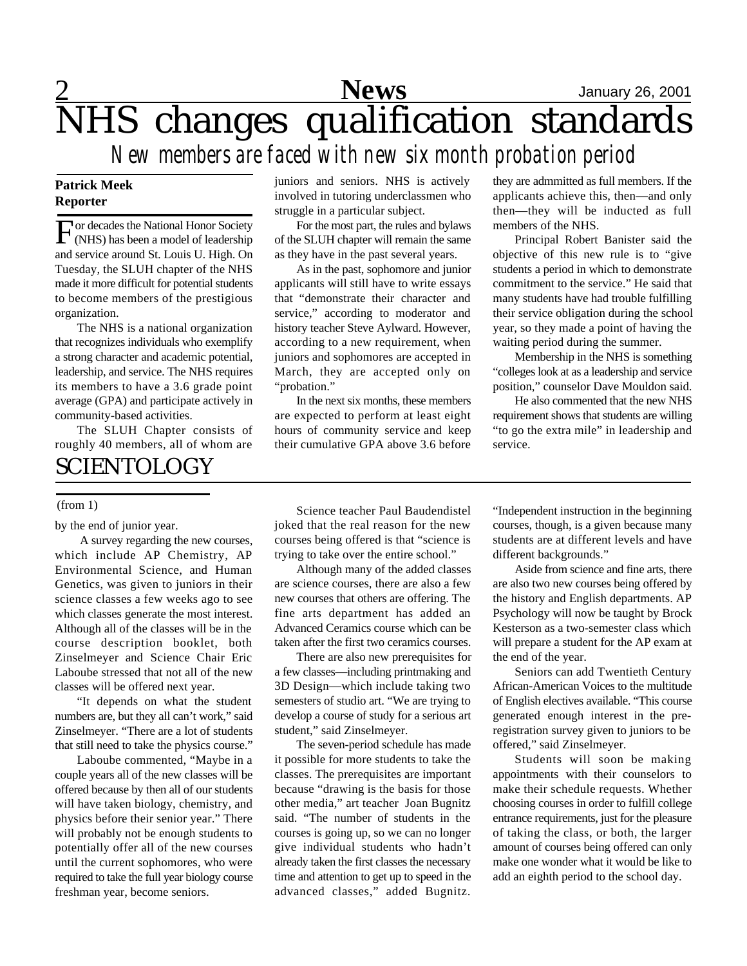## 2 **News** January 26, 2001 NHS changes qualification standards *New members are faced with new six month probation period*

#### **Patrick Meek Reporter**

For decades the National Honor Society<br>
(NHS) has been a model of leadership (NHS) has been a model of leadership and service around St. Louis U. High. On Tuesday, the SLUH chapter of the NHS made it more difficult for potential students to become members of the prestigious organization.

The NHS is a national organization that recognizes individuals who exemplify a strong character and academic potential, leadership, and service. The NHS requires its members to have a 3.6 grade point average (GPA) and participate actively in community-based activities.

The SLUH Chapter consists of roughly 40 members, all of whom are

### **SCIENTOLOGY**

#### (from 1)

by the end of junior year.

 A survey regarding the new courses, which include AP Chemistry, AP Environmental Science, and Human Genetics, was given to juniors in their science classes a few weeks ago to see which classes generate the most interest. Although all of the classes will be in the course description booklet, both Zinselmeyer and Science Chair Eric Laboube stressed that not all of the new classes will be offered next year.

"It depends on what the student numbers are, but they all can't work," said Zinselmeyer. "There are a lot of students that still need to take the physics course."

Laboube commented, "Maybe in a couple years all of the new classes will be offered because by then all of our students will have taken biology, chemistry, and physics before their senior year." There will probably not be enough students to potentially offer all of the new courses until the current sophomores, who were required to take the full year biology course freshman year, become seniors.

juniors and seniors. NHS is actively involved in tutoring underclassmen who struggle in a particular subject.

For the most part, the rules and bylaws of the SLUH chapter will remain the same as they have in the past several years.

As in the past, sophomore and junior applicants will still have to write essays that "demonstrate their character and service," according to moderator and history teacher Steve Aylward. However, according to a new requirement, when juniors and sophomores are accepted in March, they are accepted only on "probation."

In the next six months, these members are expected to perform at least eight hours of community service and keep their cumulative GPA above 3.6 before they are admmitted as full members. If the applicants achieve this, then—and only then—they will be inducted as full members of the NHS.

Principal Robert Banister said the objective of this new rule is to "give students a period in which to demonstrate commitment to the service." He said that many students have had trouble fulfilling their service obligation during the school year, so they made a point of having the waiting period during the summer.

Membership in the NHS is something "colleges look at as a leadership and service position," counselor Dave Mouldon said.

He also commented that the new NHS requirement shows that students are willing "to go the extra mile" in leadership and service.

Science teacher Paul Baudendistel joked that the real reason for the new courses being offered is that "science is trying to take over the entire school."

Although many of the added classes are science courses, there are also a few new courses that others are offering. The fine arts department has added an Advanced Ceramics course which can be taken after the first two ceramics courses.

There are also new prerequisites for a few classes—including printmaking and 3D Design—which include taking two semesters of studio art. "We are trying to develop a course of study for a serious art student," said Zinselmeyer.

The seven-period schedule has made it possible for more students to take the classes. The prerequisites are important because "drawing is the basis for those other media," art teacher Joan Bugnitz said. "The number of students in the courses is going up, so we can no longer give individual students who hadn't already taken the first classes the necessary time and attention to get up to speed in the advanced classes," added Bugnitz.

"Independent instruction in the beginning courses, though, is a given because many students are at different levels and have different backgrounds."

Aside from science and fine arts, there are also two new courses being offered by the history and English departments. AP Psychology will now be taught by Brock Kesterson as a two-semester class which will prepare a student for the AP exam at the end of the year.

Seniors can add Twentieth Century African-American Voices to the multitude of English electives available. "This course generated enough interest in the preregistration survey given to juniors to be offered," said Zinselmeyer.

Students will soon be making appointments with their counselors to make their schedule requests. Whether choosing courses in order to fulfill college entrance requirements, just for the pleasure of taking the class, or both, the larger amount of courses being offered can only make one wonder what it would be like to add an eighth period to the school day.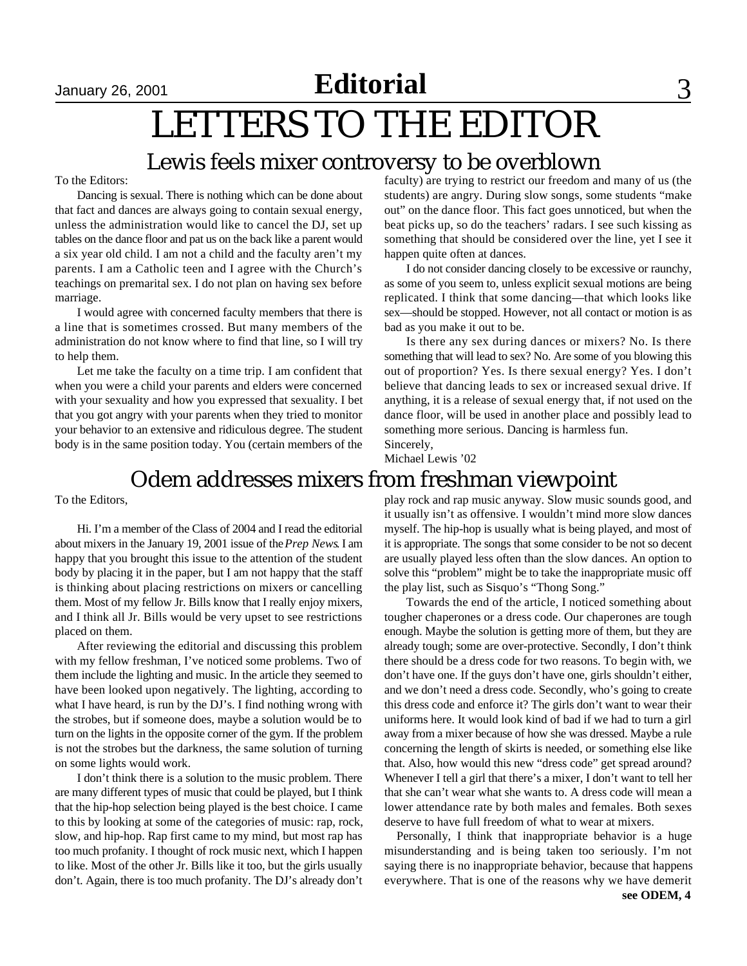$S<sub>1</sub>$   $S<sub>2001</sub>$  **Editorial** 3

# LETTERS TO THE EDITOR

### Lewis feels mixer controversy to be overblown

To the Editors:

Dancing is sexual. There is nothing which can be done about that fact and dances are always going to contain sexual energy, unless the administration would like to cancel the DJ, set up tables on the dance floor and pat us on the back like a parent would a six year old child. I am not a child and the faculty aren't my parents. I am a Catholic teen and I agree with the Church's teachings on premarital sex. I do not plan on having sex before marriage.

I would agree with concerned faculty members that there is a line that is sometimes crossed. But many members of the administration do not know where to find that line, so I will try to help them.

Let me take the faculty on a time trip. I am confident that when you were a child your parents and elders were concerned with your sexuality and how you expressed that sexuality. I bet that you got angry with your parents when they tried to monitor your behavior to an extensive and ridiculous degree. The student body is in the same position today. You (certain members of the faculty) are trying to restrict our freedom and many of us (the students) are angry. During slow songs, some students "make out" on the dance floor. This fact goes unnoticed, but when the beat picks up, so do the teachers' radars. I see such kissing as something that should be considered over the line, yet I see it happen quite often at dances.

I do not consider dancing closely to be excessive or raunchy, as some of you seem to, unless explicit sexual motions are being replicated. I think that some dancing—that which looks like sex—should be stopped. However, not all contact or motion is as bad as you make it out to be.

Is there any sex during dances or mixers? No. Is there something that will lead to sex? No. Are some of you blowing this out of proportion? Yes. Is there sexual energy? Yes. I don't believe that dancing leads to sex or increased sexual drive. If anything, it is a release of sexual energy that, if not used on the dance floor, will be used in another place and possibly lead to something more serious. Dancing is harmless fun. Sincerely,

Michael Lewis '02

## Odem addresses mixers from freshman viewpoint

To the Editors,

Hi. I'm a member of the Class of 2004 and I read the editorial about mixers in the January 19, 2001 issue of the *Prep News*. I am happy that you brought this issue to the attention of the student body by placing it in the paper, but I am not happy that the staff is thinking about placing restrictions on mixers or cancelling them. Most of my fellow Jr. Bills know that I really enjoy mixers, and I think all Jr. Bills would be very upset to see restrictions placed on them.

After reviewing the editorial and discussing this problem with my fellow freshman, I've noticed some problems. Two of them include the lighting and music. In the article they seemed to have been looked upon negatively. The lighting, according to what I have heard, is run by the DJ's. I find nothing wrong with the strobes, but if someone does, maybe a solution would be to turn on the lights in the opposite corner of the gym. If the problem is not the strobes but the darkness, the same solution of turning on some lights would work.

I don't think there is a solution to the music problem. There are many different types of music that could be played, but I think that the hip-hop selection being played is the best choice. I came to this by looking at some of the categories of music: rap, rock, slow, and hip-hop. Rap first came to my mind, but most rap has too much profanity. I thought of rock music next, which I happen to like. Most of the other Jr. Bills like it too, but the girls usually don't. Again, there is too much profanity. The DJ's already don't play rock and rap music anyway. Slow music sounds good, and it usually isn't as offensive. I wouldn't mind more slow dances myself. The hip-hop is usually what is being played, and most of it is appropriate. The songs that some consider to be not so decent are usually played less often than the slow dances. An option to solve this "problem" might be to take the inappropriate music off the play list, such as Sisquo's "Thong Song."

Towards the end of the article, I noticed something about tougher chaperones or a dress code. Our chaperones are tough enough. Maybe the solution is getting more of them, but they are already tough; some are over-protective. Secondly, I don't think there should be a dress code for two reasons. To begin with, we don't have one. If the guys don't have one, girls shouldn't either, and we don't need a dress code. Secondly, who's going to create this dress code and enforce it? The girls don't want to wear their uniforms here. It would look kind of bad if we had to turn a girl away from a mixer because of how she was dressed. Maybe a rule concerning the length of skirts is needed, or something else like that. Also, how would this new "dress code" get spread around? Whenever I tell a girl that there's a mixer, I don't want to tell her that she can't wear what she wants to. A dress code will mean a lower attendance rate by both males and females. Both sexes deserve to have full freedom of what to wear at mixers.

Personally, I think that inappropriate behavior is a huge misunderstanding and is being taken too seriously. I'm not saying there is no inappropriate behavior, because that happens everywhere. That is one of the reasons why we have demerit **see ODEM, 4**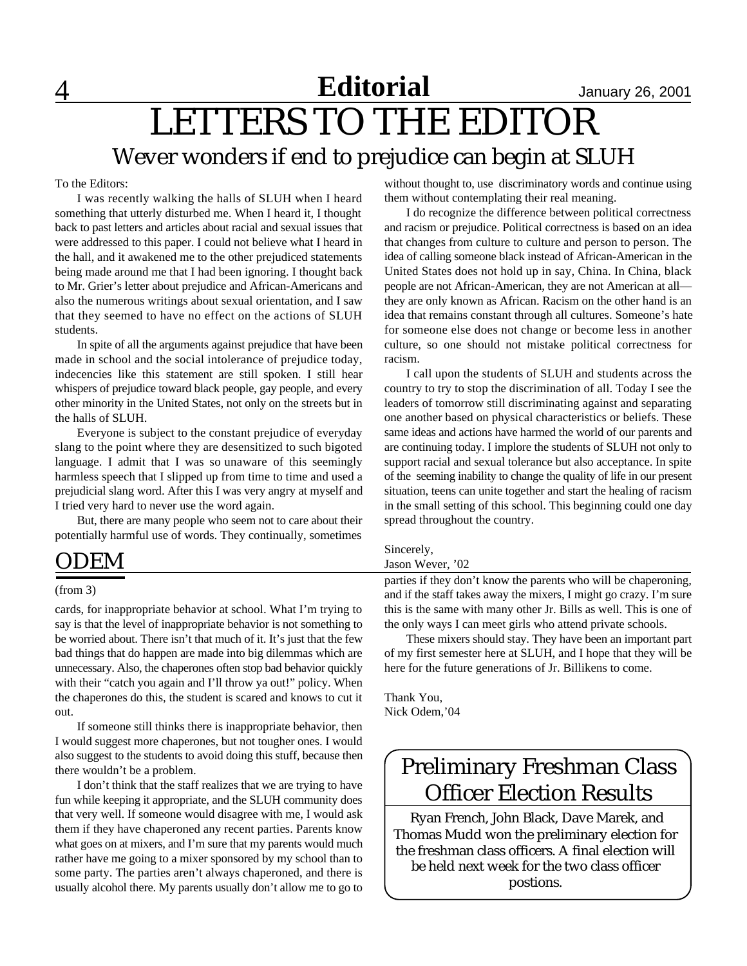To the Editors:

I was recently walking the halls of SLUH when I heard something that utterly disturbed me. When I heard it, I thought back to past letters and articles about racial and sexual issues that were addressed to this paper. I could not believe what I heard in the hall, and it awakened me to the other prejudiced statements being made around me that I had been ignoring. I thought back to Mr. Grier's letter about prejudice and African-Americans and also the numerous writings about sexual orientation, and I saw that they seemed to have no effect on the actions of SLUH students.

In spite of all the arguments against prejudice that have been made in school and the social intolerance of prejudice today, indecencies like this statement are still spoken. I still hear whispers of prejudice toward black people, gay people, and every other minority in the United States, not only on the streets but in the halls of SLUH.

Everyone is subject to the constant prejudice of everyday slang to the point where they are desensitized to such bigoted language. I admit that I was so unaware of this seemingly harmless speech that I slipped up from time to time and used a prejudicial slang word. After this I was very angry at myself and I tried very hard to never use the word again.

But, there are many people who seem not to care about their potentially harmful use of words. They continually, sometimes

### ODEM

#### (from 3)

cards, for inappropriate behavior at school. What I'm trying to say is that the level of inappropriate behavior is not something to be worried about. There isn't that much of it. It's just that the few bad things that do happen are made into big dilemmas which are unnecessary. Also, the chaperones often stop bad behavior quickly with their "catch you again and I'll throw ya out!" policy. When the chaperones do this, the student is scared and knows to cut it out.

If someone still thinks there is inappropriate behavior, then I would suggest more chaperones, but not tougher ones. I would also suggest to the students to avoid doing this stuff, because then there wouldn't be a problem.

I don't think that the staff realizes that we are trying to have fun while keeping it appropriate, and the SLUH community does that very well. If someone would disagree with me, I would ask them if they have chaperoned any recent parties. Parents know what goes on at mixers, and I'm sure that my parents would much rather have me going to a mixer sponsored by my school than to some party. The parties aren't always chaperoned, and there is usually alcohol there. My parents usually don't allow me to go to

without thought to, use discriminatory words and continue using them without contemplating their real meaning.

I do recognize the difference between political correctness and racism or prejudice. Political correctness is based on an idea that changes from culture to culture and person to person. The idea of calling someone black instead of African-American in the United States does not hold up in say, China. In China, black people are not African-American, they are not American at all they are only known as African. Racism on the other hand is an idea that remains constant through all cultures. Someone's hate for someone else does not change or become less in another culture, so one should not mistake political correctness for racism.

I call upon the students of SLUH and students across the country to try to stop the discrimination of all. Today I see the leaders of tomorrow still discriminating against and separating one another based on physical characteristics or beliefs. These same ideas and actions have harmed the world of our parents and are continuing today. I implore the students of SLUH not only to support racial and sexual tolerance but also acceptance. In spite of the seeming inability to change the quality of life in our present situation, teens can unite together and start the healing of racism in the small setting of this school. This beginning could one day spread throughout the country.

#### Sincerely,

#### Jason Wever, '02

parties if they don't know the parents who will be chaperoning, and if the staff takes away the mixers, I might go crazy. I'm sure this is the same with many other Jr. Bills as well. This is one of the only ways I can meet girls who attend private schools.

These mixers should stay. They have been an important part of my first semester here at SLUH, and I hope that they will be here for the future generations of Jr. Billikens to come.

Thank You, Nick Odem,'04

## Preliminary Freshman Class Officer Election Results

 Ryan French, John Black, Dave Marek, and Thomas Mudd won the preliminary election for the freshman class officers. A final election will be held next week for the two class officer postions.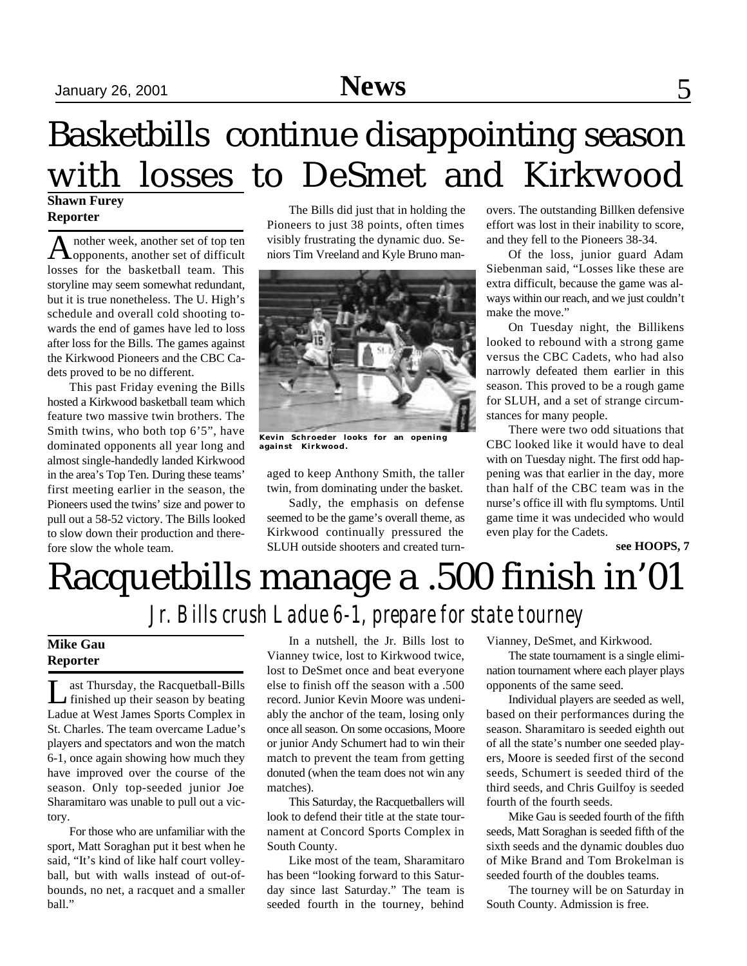# September 15, 2001 **September 26, 2001** Sports 2001 Sports 32, 2001 Sports 32, 2001 Sports 32, 2001 Sports 32, 2001 Sports 32, 2001 Sports 32, 2001 Sports 32, 2001 Sports 32, 2001 Sports 32, 2001 Sports 32, 2001 Sports 32,

# Basketbills continue disappointing season with losses to DeSmet and Kirkwood

#### **Shawn Furey Reporter**

A nother week, another set of top ten<br>
opponents, another set of difficult nother week, another set of top ten losses for the basketball team. This storyline may seem somewhat redundant, but it is true nonetheless. The U. High's schedule and overall cold shooting towards the end of games have led to loss after loss for the Bills. The games against the Kirkwood Pioneers and the CBC Cadets proved to be no different.

This past Friday evening the Bills hosted a Kirkwood basketball team which feature two massive twin brothers. The Smith twins, who both top 6'5", have dominated opponents all year long and almost single-handedly landed Kirkwood in the area's Top Ten. During these teams' first meeting earlier in the season, the Pioneers used the twins' size and power to pull out a 58-52 victory. The Bills looked to slow down their production and therefore slow the whole team.

The Bills did just that in holding the Pioneers to just 38 points, often times visibly frustrating the dynamic duo. Seniors Tim Vreeland and Kyle Bruno man-



**Kevin Schroeder looks for an opening against Kirkwood.**

aged to keep Anthony Smith, the taller twin, from dominating under the basket.

Sadly, the emphasis on defense seemed to be the game's overall theme, as Kirkwood continually pressured the SLUH outside shooters and created turn-

overs. The outstanding Billken defensive effort was lost in their inability to score, and they fell to the Pioneers 38-34.

Of the loss, junior guard Adam Siebenman said, "Losses like these are extra difficult, because the game was always within our reach, and we just couldn't make the move."

On Tuesday night, the Billikens looked to rebound with a strong game versus the CBC Cadets, who had also narrowly defeated them earlier in this season. This proved to be a rough game for SLUH, and a set of strange circumstances for many people.

There were two odd situations that CBC looked like it would have to deal with on Tuesday night. The first odd happening was that earlier in the day, more than half of the CBC team was in the nurse's office ill with flu symptoms. Until game time it was undecided who would even play for the Cadets.

**see HOOPS, 7**

# Racquetbills manage a .500 finish in'01 *Jr. Bills crush Ladue 6-1, prepare for state tourney*

#### **Mike Gau Reporter**

Let Thursday, the Racquetball-Bills<br>
finished up their season by beating ast Thursday, the Racquetball-Bills Ladue at West James Sports Complex in St. Charles. The team overcame Ladue's players and spectators and won the match 6-1, once again showing how much they have improved over the course of the season. Only top-seeded junior Joe Sharamitaro was unable to pull out a victory.

For those who are unfamiliar with the sport, Matt Soraghan put it best when he said, "It's kind of like half court volleyball, but with walls instead of out-ofbounds, no net, a racquet and a smaller ball."

In a nutshell, the Jr. Bills lost to Vianney twice, lost to Kirkwood twice, lost to DeSmet once and beat everyone else to finish off the season with a .500 record. Junior Kevin Moore was undeniably the anchor of the team, losing only once all season. On some occasions, Moore or junior Andy Schumert had to win their match to prevent the team from getting donuted (when the team does not win any matches).

This Saturday, the Racquetballers will look to defend their title at the state tournament at Concord Sports Complex in South County.

Like most of the team, Sharamitaro has been "looking forward to this Saturday since last Saturday." The team is seeded fourth in the tourney, behind Vianney, DeSmet, and Kirkwood.

The state tournament is a single elimination tournament where each player plays opponents of the same seed.

Individual players are seeded as well, based on their performances during the season. Sharamitaro is seeded eighth out of all the state's number one seeded players, Moore is seeded first of the second seeds, Schumert is seeded third of the third seeds, and Chris Guilfoy is seeded fourth of the fourth seeds.

Mike Gau is seeded fourth of the fifth seeds, Matt Soraghan is seeded fifth of the sixth seeds and the dynamic doubles duo of Mike Brand and Tom Brokelman is seeded fourth of the doubles teams.

The tourney will be on Saturday in South County. Admission is free.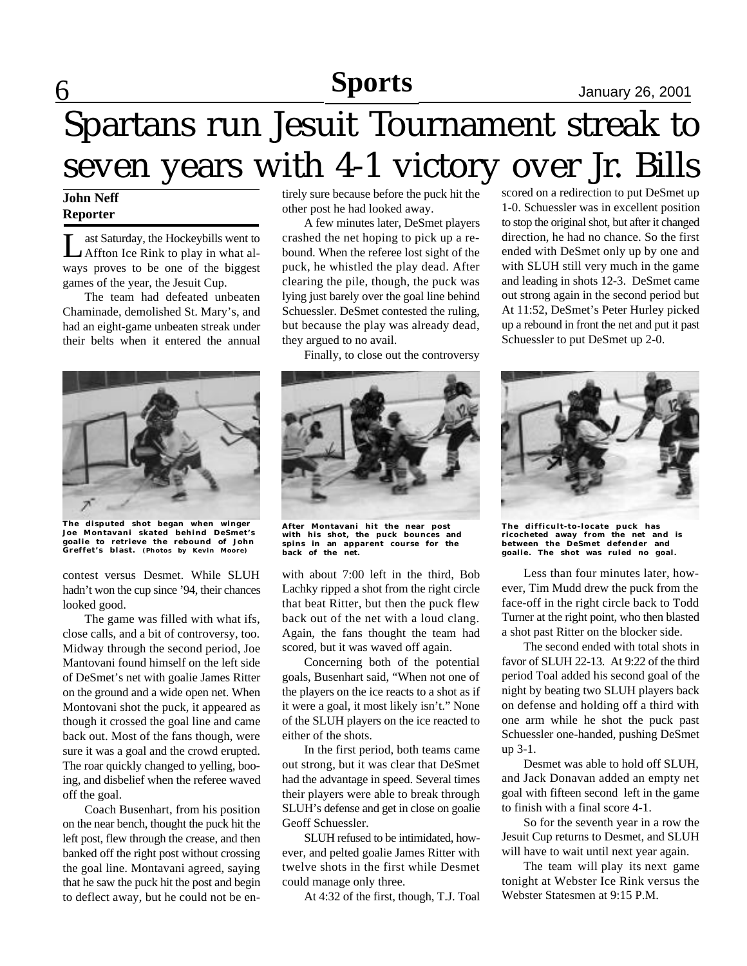## **Sports** January 26, 2001

# 6 Spartans run Jesuit Tournament streak to seven years with 4-1 victory over Jr. Bills

#### **John Neff Reporter**

Let Saturday, the Hockeybills went to<br>Affton Ice Rink to play in what alast Saturday, the Hockeybills went to ways proves to be one of the biggest games of the year, the Jesuit Cup.

The team had defeated unbeaten Chaminade, demolished St. Mary's, and had an eight-game unbeaten streak under their belts when it entered the annual



**The disputed shot began when winger Joe Montavani skated behind DeSmet's goalie to retrieve the rebound of John Greffet's blast. (Photos by Kevin Moore)**

contest versus Desmet. While SLUH hadn't won the cup since '94, their chances looked good.

The game was filled with what ifs, close calls, and a bit of controversy, too. Midway through the second period, Joe Mantovani found himself on the left side of DeSmet's net with goalie James Ritter on the ground and a wide open net. When Montovani shot the puck, it appeared as though it crossed the goal line and came back out. Most of the fans though, were sure it was a goal and the crowd erupted. The roar quickly changed to yelling, booing, and disbelief when the referee waved off the goal.

Coach Busenhart, from his position on the near bench, thought the puck hit the left post, flew through the crease, and then banked off the right post without crossing the goal line. Montavani agreed, saying that he saw the puck hit the post and begin to deflect away, but he could not be en-

tirely sure because before the puck hit the other post he had looked away.

A few minutes later, DeSmet players crashed the net hoping to pick up a rebound. When the referee lost sight of the puck, he whistled the play dead. After clearing the pile, though, the puck was lying just barely over the goal line behind Schuessler. DeSmet contested the ruling, but because the play was already dead, they argued to no avail.

Finally, to close out the controversy



**After Montavani hit the near post with his shot, the puck bounces and spins in an apparent course for the back of the net.**

with about 7:00 left in the third, Bob Lachky ripped a shot from the right circle that beat Ritter, but then the puck flew back out of the net with a loud clang. Again, the fans thought the team had scored, but it was waved off again.

Concerning both of the potential goals, Busenhart said, "When not one of the players on the ice reacts to a shot as if it were a goal, it most likely isn't." None of the SLUH players on the ice reacted to either of the shots.

In the first period, both teams came out strong, but it was clear that DeSmet had the advantage in speed. Several times their players were able to break through SLUH's defense and get in close on goalie Geoff Schuessler.

SLUH refused to be intimidated, however, and pelted goalie James Ritter with twelve shots in the first while Desmet could manage only three.

At 4:32 of the first, though, T.J. Toal

scored on a redirection to put DeSmet up 1-0. Schuessler was in excellent position to stop the original shot, but after it changed direction, he had no chance. So the first ended with DeSmet only up by one and with SLUH still very much in the game and leading in shots 12-3. DeSmet came out strong again in the second period but At 11:52, DeSmet's Peter Hurley picked up a rebound in front the net and put it past Schuessler to put DeSmet up 2-0.



**The difficult-to-locate puck has ricocheted away from the net and is between the DeSmet defender and goalie. The shot was ruled no goal.**

Less than four minutes later, however, Tim Mudd drew the puck from the face-off in the right circle back to Todd Turner at the right point, who then blasted a shot past Ritter on the blocker side.

The second ended with total shots in favor of SLUH 22-13. At 9:22 of the third period Toal added his second goal of the night by beating two SLUH players back on defense and holding off a third with one arm while he shot the puck past Schuessler one-handed, pushing DeSmet up 3-1.

Desmet was able to hold off SLUH, and Jack Donavan added an empty net goal with fifteen second left in the game to finish with a final score 4-1.

So for the seventh year in a row the Jesuit Cup returns to Desmet, and SLUH will have to wait until next year again.

The team will play its next game tonight at Webster Ice Rink versus the Webster Statesmen at 9:15 P.M.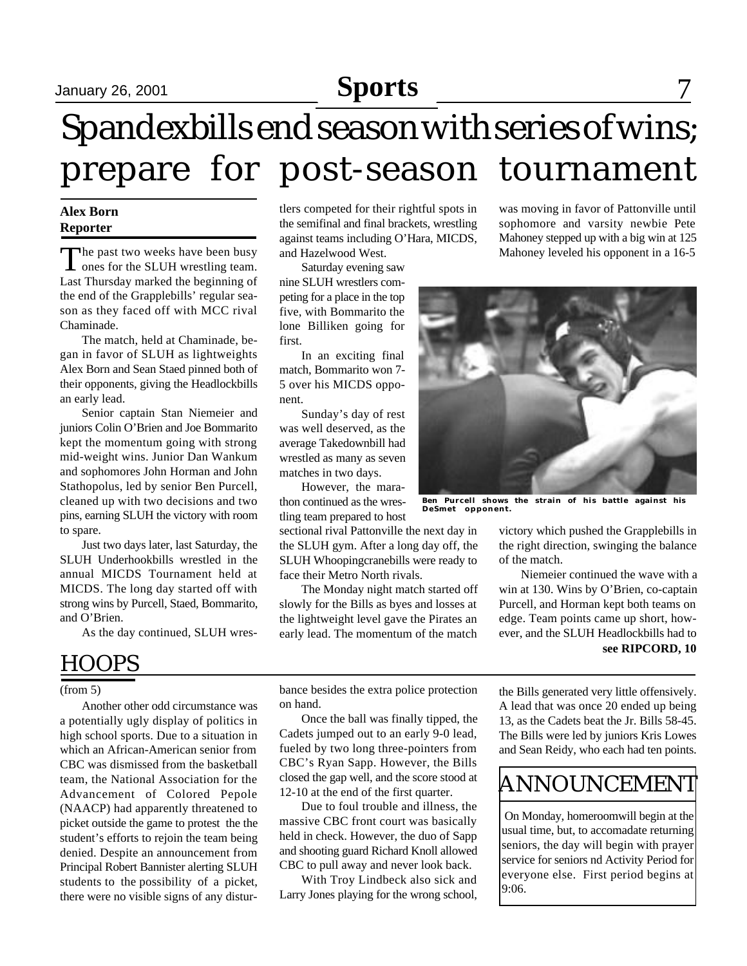## **Sports** January 26, 2001 September 15, 2001 Sports

# Spandexbills end season with series of wins; prepare for post-season tournament

#### **Alex Born Reporter**

The past two weeks have been busy<br>ones for the SLUH wrestling team. ones for the SLUH wrestling team. Last Thursday marked the beginning of the end of the Grapplebills' regular season as they faced off with MCC rival Chaminade.

The match, held at Chaminade, began in favor of SLUH as lightweights Alex Born and Sean Staed pinned both of their opponents, giving the Headlockbills an early lead.

Senior captain Stan Niemeier and juniors Colin O'Brien and Joe Bommarito kept the momentum going with strong mid-weight wins. Junior Dan Wankum and sophomores John Horman and John Stathopolus, led by senior Ben Purcell, cleaned up with two decisions and two pins, earning SLUH the victory with room to spare.

Just two days later, last Saturday, the SLUH Underhookbills wrestled in the annual MICDS Tournament held at MICDS. The long day started off with strong wins by Purcell, Staed, Bommarito, and O'Brien.

As the day continued, SLUH wres-

### HOOPS

#### (from 5)

Another other odd circumstance was a potentially ugly display of politics in high school sports. Due to a situation in which an African-American senior from CBC was dismissed from the basketball team, the National Association for the Advancement of Colored Pepole (NAACP) had apparently threatened to picket outside the game to protest the the student's efforts to rejoin the team being denied. Despite an announcement from Principal Robert Bannister alerting SLUH students to the possibility of a picket, there were no visible signs of any disturtlers competed for their rightful spots in the semifinal and final brackets, wrestling against teams including O'Hara, MICDS, and Hazelwood West.

Saturday evening saw nine SLUH wrestlers competing for a place in the top five, with Bommarito the lone Billiken going for first.

In an exciting final match, Bommarito won 7- 5 over his MICDS opponent.

Sunday's day of rest was well deserved, as the average Takedownbill had wrestled as many as seven matches in two days.

However, the marathon continued as the wrestling team prepared to host

sectional rival Pattonville the next day in the SLUH gym. After a long day off, the SLUH Whoopingcranebills were ready to face their Metro North rivals.

The Monday night match started off slowly for the Bills as byes and losses at the lightweight level gave the Pirates an early lead. The momentum of the match

was moving in favor of Pattonville until sophomore and varsity newbie Pete Mahoney stepped up with a big win at 125 Mahoney leveled his opponent in a 16-5



**Ben Purcell shows the strain of his battle against his DeSmet opponent.**

victory which pushed the Grapplebills in the right direction, swinging the balance of the match.

**see RIPCORD, 10** Niemeier continued the wave with a win at 130. Wins by O'Brien, co-captain Purcell, and Horman kept both teams on edge. Team points came up short, however, and the SLUH Headlockbills had to

bance besides the extra police protection on hand.

Once the ball was finally tipped, the Cadets jumped out to an early 9-0 lead, fueled by two long three-pointers from CBC's Ryan Sapp. However, the Bills closed the gap well, and the score stood at 12-10 at the end of the first quarter.

Due to foul trouble and illness, the massive CBC front court was basically held in check. However, the duo of Sapp and shooting guard Richard Knoll allowed CBC to pull away and never look back.

With Troy Lindbeck also sick and Larry Jones playing for the wrong school, the Bills generated very little offensively. A lead that was once 20 ended up being 13, as the Cadets beat the Jr. Bills 58-45. The Bills were led by juniors Kris Lowes and Sean Reidy, who each had ten points.

## ANNOUNCEMENT

 On Monday, homeroomwill begin at the usual time, but, to accomadate returning seniors, the day will begin with prayer service for seniors nd Activity Period for everyone else. First period begins at 9:06.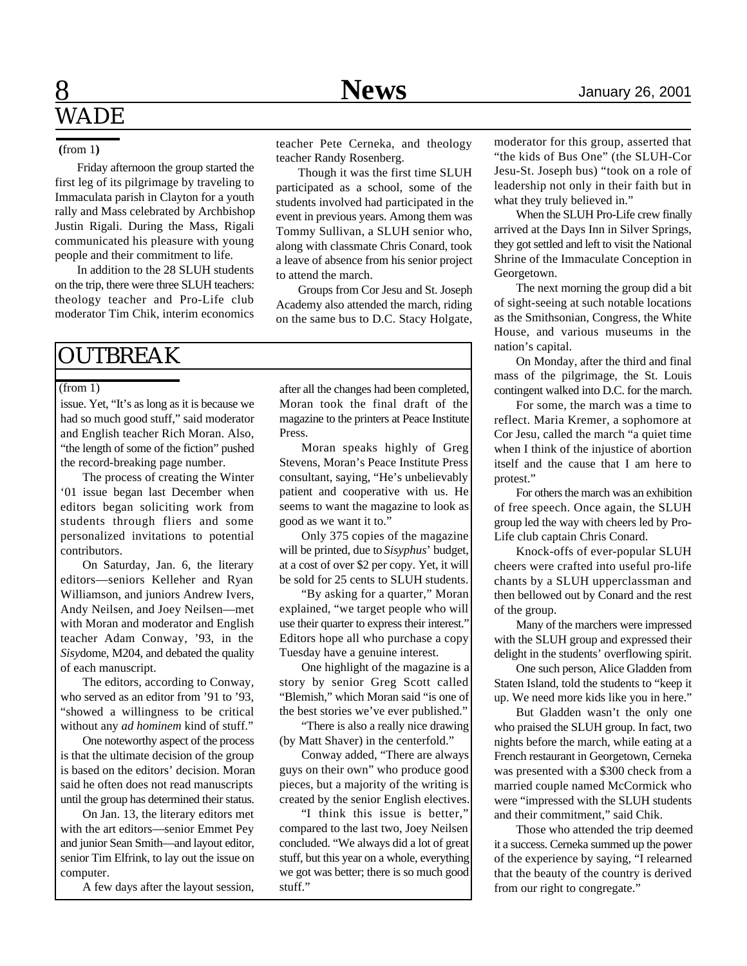#### **(**from 1**)**

Friday afternoon the group started the first leg of its pilgrimage by traveling to Immaculata parish in Clayton for a youth rally and Mass celebrated by Archbishop Justin Rigali. During the Mass, Rigali communicated his pleasure with young people and their commitment to life.

In addition to the 28 SLUH students on the trip, there were three SLUH teachers: theology teacher and Pro-Life club moderator Tim Chik, interim economics

### **OUTBREAK**

#### $(from 1)$

issue. Yet, "It's as long as it is because we had so much good stuff," said moderator and English teacher Rich Moran. Also, "the length of some of the fiction" pushed the record-breaking page number.

The process of creating the Winter '01 issue began last December when editors began soliciting work from students through fliers and some personalized invitations to potential contributors.

On Saturday, Jan. 6, the literary editors—seniors Kelleher and Ryan Williamson, and juniors Andrew Ivers, Andy Neilsen, and Joey Neilsen—met with Moran and moderator and English teacher Adam Conway, '93, in the *Sisy*dome, M204, and debated the quality of each manuscript.

The editors, according to Conway, who served as an editor from '91 to '93, "showed a willingness to be critical without any *ad hominem* kind of stuff."

One noteworthy aspect of the process is that the ultimate decision of the group is based on the editors' decision. Moran said he often does not read manuscripts until the group has determined their status.

On Jan. 13, the literary editors met with the art editors—senior Emmet Pey and junior Sean Smith—and layout editor, senior Tim Elfrink, to lay out the issue on computer.

A few days after the layout session,

teacher Pete Cerneka, and theology teacher Randy Rosenberg.

Though it was the first time SLUH participated as a school, some of the students involved had participated in the event in previous years. Among them was Tommy Sullivan, a SLUH senior who, along with classmate Chris Conard, took a leave of absence from his senior project to attend the march.

Groups from Cor Jesu and St. Joseph Academy also attended the march, riding on the same bus to D.C. Stacy Holgate,

after all the changes had been completed, Moran took the final draft of the magazine to the printers at Peace Institute Press.

Moran speaks highly of Greg Stevens, Moran's Peace Institute Press consultant, saying, "He's unbelievably patient and cooperative with us. He seems to want the magazine to look as good as we want it to."

Only 375 copies of the magazine will be printed, due to *Sisyphus*' budget, at a cost of over \$2 per copy. Yet, it will be sold for 25 cents to SLUH students.

"By asking for a quarter," Moran explained, "we target people who will use their quarter to express their interest." Editors hope all who purchase a copy Tuesday have a genuine interest.

One highlight of the magazine is a story by senior Greg Scott called "Blemish," which Moran said "is one of the best stories we've ever published."

"There is also a really nice drawing (by Matt Shaver) in the centerfold."

Conway added, "There are always guys on their own" who produce good pieces, but a majority of the writing is created by the senior English electives.

"I think this issue is better," compared to the last two, Joey Neilsen concluded. "We always did a lot of great stuff, but this year on a whole, everything we got was better; there is so much good stuff."

moderator for this group, asserted that "the kids of Bus One" (the SLUH-Cor Jesu-St. Joseph bus) "took on a role of leadership not only in their faith but in what they truly believed in."

When the SLUH Pro-Life crew finally arrived at the Days Inn in Silver Springs, they got settled and left to visit the National Shrine of the Immaculate Conception in Georgetown.

The next morning the group did a bit of sight-seeing at such notable locations as the Smithsonian, Congress, the White House, and various museums in the nation's capital.

On Monday, after the third and final mass of the pilgrimage, the St. Louis contingent walked into D.C. for the march.

For some, the march was a time to reflect. Maria Kremer, a sophomore at Cor Jesu, called the march "a quiet time when I think of the injustice of abortion itself and the cause that I am here to protest."

For others the march was an exhibition of free speech. Once again, the SLUH group led the way with cheers led by Pro-Life club captain Chris Conard.

Knock-offs of ever-popular SLUH cheers were crafted into useful pro-life chants by a SLUH upperclassman and then bellowed out by Conard and the rest of the group.

Many of the marchers were impressed with the SLUH group and expressed their delight in the students' overflowing spirit.

One such person, Alice Gladden from Staten Island, told the students to "keep it up. We need more kids like you in here."

But Gladden wasn't the only one who praised the SLUH group. In fact, two nights before the march, while eating at a French restaurant in Georgetown, Cerneka was presented with a \$300 check from a married couple named McCormick who were "impressed with the SLUH students and their commitment," said Chik.

Those who attended the trip deemed it a success. Cerneka summed up the power of the experience by saying, "I relearned that the beauty of the country is derived from our right to congregate."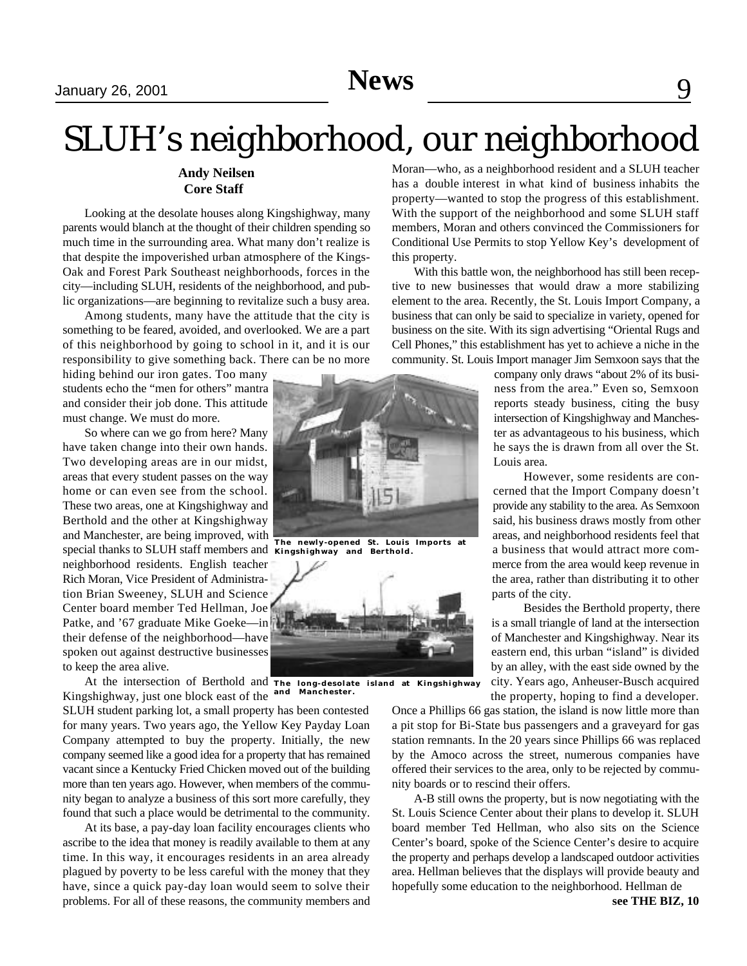# SLUH's neighborhood, our neighborhood

#### **Andy Neilsen Core Staff**

Looking at the desolate houses along Kingshighway, many parents would blanch at the thought of their children spending so much time in the surrounding area. What many don't realize is that despite the impoverished urban atmosphere of the Kings-Oak and Forest Park Southeast neighborhoods, forces in the city—including SLUH, residents of the neighborhood, and public organizations—are beginning to revitalize such a busy area.

Among students, many have the attitude that the city is something to be feared, avoided, and overlooked. We are a part of this neighborhood by going to school in it, and it is our responsibility to give something back. There can be no more

hiding behind our iron gates. Too many students echo the "men for others" mantra and consider their job done. This attitude must change. We must do more.

So where can we go from here? Many have taken change into their own hands. Two developing areas are in our midst, areas that every student passes on the way home or can even see from the school. These two areas, one at Kingshighway and Berthold and the other at Kingshighway and Manchester, are being improved, with special thanks to SLUH staff members and **Kingshighway and Berthold.** neighborhood residents. English teacher Rich Moran, Vice President of Administration Brian Sweeney, SLUH and Science Center board member Ted Hellman, Joe Patke, and '67 graduate Mike Goeke—in their defense of the neighborhood—have spoken out against destructive businesses to keep the area alive.

At the intersection of Berthold and The long-desolate Kingshighway, just one block east of the **and Manchester.**

SLUH student parking lot, a small property has been contested for many years. Two years ago, the Yellow Key Payday Loan Company attempted to buy the property. Initially, the new company seemed like a good idea for a property that has remained vacant since a Kentucky Fried Chicken moved out of the building more than ten years ago. However, when members of the community began to analyze a business of this sort more carefully, they found that such a place would be detrimental to the community.

At its base, a pay-day loan facility encourages clients who ascribe to the idea that money is readily available to them at any time. In this way, it encourages residents in an area already plagued by poverty to be less careful with the money that they have, since a quick pay-day loan would seem to solve their problems. For all of these reasons, the community members and



**The newly-opened St. Louis Imports at**



**The long-desolate island at Kingshighway**

Once a Phillips 66 gas station, the island is now little more than a pit stop for Bi-State bus passengers and a graveyard for gas station remnants. In the 20 years since Phillips 66 was replaced by the Amoco across the street, numerous companies have offered their services to the area, only to be rejected by community boards or to rescind their offers.

A-B still owns the property, but is now negotiating with the St. Louis Science Center about their plans to develop it. SLUH board member Ted Hellman, who also sits on the Science Center's board, spoke of the Science Center's desire to acquire the property and perhaps develop a landscaped outdoor activities area. Hellman believes that the displays will provide beauty and hopefully some education to the neighborhood. Hellman de

Moran—who, as a neighborhood resident and a SLUH teacher has a double interest in what kind of business inhabits the property—wanted to stop the progress of this establishment. With the support of the neighborhood and some SLUH staff members, Moran and others convinced the Commissioners for Conditional Use Permits to stop Yellow Key's development of this property.

With this battle won, the neighborhood has still been receptive to new businesses that would draw a more stabilizing element to the area. Recently, the St. Louis Import Company, a business that can only be said to specialize in variety, opened for business on the site. With its sign advertising "Oriental Rugs and Cell Phones," this establishment has yet to achieve a niche in the community. St. Louis Import manager Jim Semxoon says that the

> company only draws "about 2% of its business from the area." Even so, Semxoon reports steady business, citing the busy intersection of Kingshighway and Manchester as advantageous to his business, which he says the is drawn from all over the St. Louis area.

> However, some residents are concerned that the Import Company doesn't provide any stability to the area. As Semxoon said, his business draws mostly from other areas, and neighborhood residents feel that a business that would attract more commerce from the area would keep revenue in the area, rather than distributing it to other parts of the city.

> Besides the Berthold property, there is a small triangle of land at the intersection of Manchester and Kingshighway. Near its eastern end, this urban "island" is divided by an alley, with the east side owned by the city. Years ago, Anheuser-Busch acquired the property, hoping to find a developer.